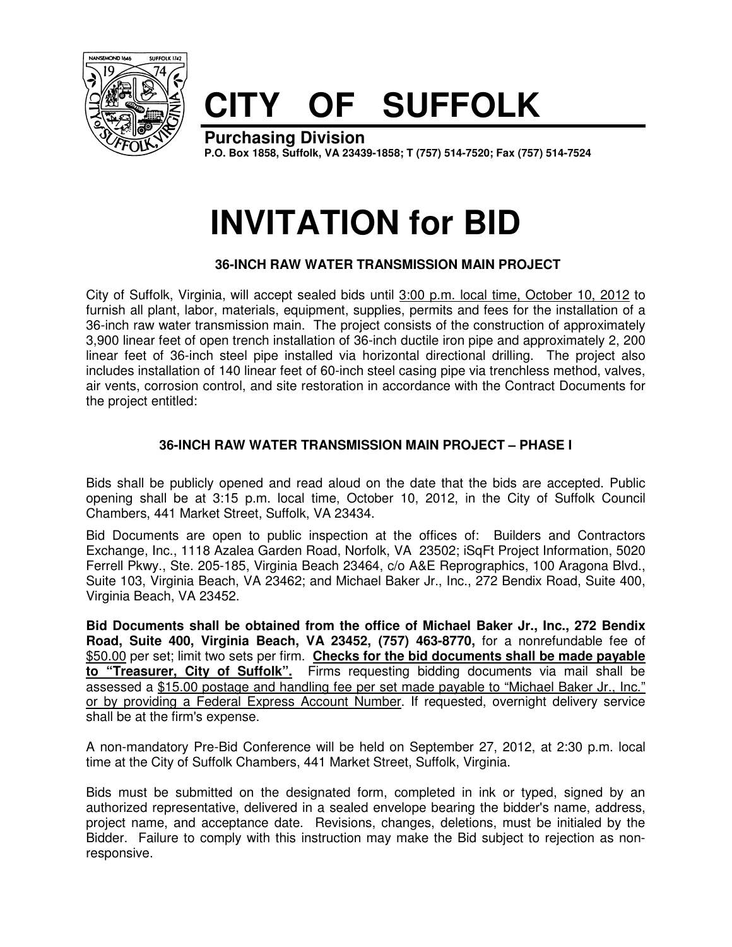

## **CITY OF SUFFOLK**

**Purchasing Division P.O. Box 1858, Suffolk, VA 23439-1858; T (757) 514-7520; Fax (757) 514-7524**

## **INVITATION for BID**

## **36-INCH RAW WATER TRANSMISSION MAIN PROJECT**

City of Suffolk, Virginia, will accept sealed bids until 3:00 p.m. local time, October 10, 2012 to furnish all plant, labor, materials, equipment, supplies, permits and fees for the installation of a 36-inch raw water transmission main. The project consists of the construction of approximately 3,900 linear feet of open trench installation of 36-inch ductile iron pipe and approximately 2, 200 linear feet of 36-inch steel pipe installed via horizontal directional drilling. The project also includes installation of 140 linear feet of 60-inch steel casing pipe via trenchless method, valves, air vents, corrosion control, and site restoration in accordance with the Contract Documents for the project entitled:

## **36-INCH RAW WATER TRANSMISSION MAIN PROJECT – PHASE I**

Bids shall be publicly opened and read aloud on the date that the bids are accepted. Public opening shall be at 3:15 p.m. local time, October 10, 2012, in the City of Suffolk Council Chambers, 441 Market Street, Suffolk, VA 23434.

Bid Documents are open to public inspection at the offices of: Builders and Contractors Exchange, Inc., 1118 Azalea Garden Road, Norfolk, VA 23502; iSqFt Project Information, 5020 Ferrell Pkwy., Ste. 205-185, Virginia Beach 23464, c/o A&E Reprographics, 100 Aragona Blvd., Suite 103, Virginia Beach, VA 23462; and Michael Baker Jr., Inc., 272 Bendix Road, Suite 400, Virginia Beach, VA 23452.

**Bid Documents shall be obtained from the office of Michael Baker Jr., Inc., 272 Bendix Road, Suite 400, Virginia Beach, VA 23452, (757) 463-8770,** for a nonrefundable fee of \$50.00 per set; limit two sets per firm. **Checks for the bid documents shall be made payable to "Treasurer, City of Suffolk".** Firms requesting bidding documents via mail shall be assessed a \$15.00 postage and handling fee per set made payable to "Michael Baker Jr., Inc." or by providing a Federal Express Account Number. If requested, overnight delivery service shall be at the firm's expense.

A non-mandatory Pre-Bid Conference will be held on September 27, 2012, at 2:30 p.m. local time at the City of Suffolk Chambers, 441 Market Street, Suffolk, Virginia.

Bids must be submitted on the designated form, completed in ink or typed, signed by an authorized representative, delivered in a sealed envelope bearing the bidder's name, address, project name, and acceptance date. Revisions, changes, deletions, must be initialed by the Bidder. Failure to comply with this instruction may make the Bid subject to rejection as nonresponsive.